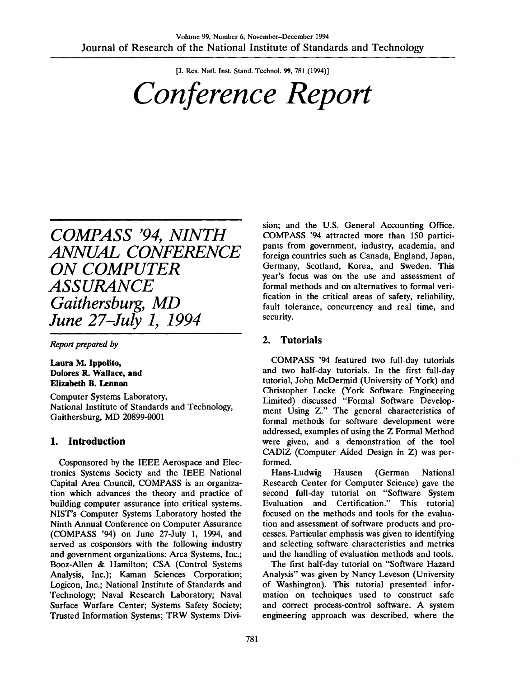[J. Res. Natl. Inst. Stand. Technol. 99, 781 (1994)]

# *Conference Report*

# *COMPASS '94, NINTH ANNUAL CONFERENCE ON COMPUTER ASSURANCE Gaithersburg, MD June 27-July 1, 1994*

*Report prepared by*

**Laura M. Ippolito, Dolores R. Wallace, and Elizabeth B. Lennon**

Computer Systems Laboratory, National Institute of Standards and Technology, Gaithersburg, MD 20899-0001

#### **1. Introduction**

Cosponsored by the IEEE Aerospace and Electronics Systems Society and the IEEE National Capital Area Council, COMPASS is an organization which advances the theory and practice of building computer assurance into critical systems. NIST's Computer Systems Laboratory hosted the Ninth Annual Conference on Computer Assurance (COMPASS '94) on June 27-July 1, 1994, and served as cosponsors with the following industry and government organizations: Area Systems, Inc.; Booz-Allen & Hamilton; CSA (Control Systems Analysis, Inc.); Kaman Sciences Corporation; Logicon, Inc.; National Institute of Standards and Technology; Naval Research Laboratory; Naval Surface Warfare Center; Systems Safety Society; Trusted Information Systems; TRW Systems Division; and the U.S. General Accounting Office. COMPASS '94 attracted more than 150 participants from government, industry, academia, and foreign countries such as Canada, England, Japan, Germany, Scotland, Korea, and Sweden. This year's focus was on the use and assessment of formal methods and on alternatives to formal verification in the critical areas of safety, reliability, fault tolerance, concurrency and real time, and security.

#### **2. Tutorials**

COMPASS '94 featured two full-day tutorials and two half-day tutorials. In the first full-day tutorial, John McDermid (University of York) and Christopher Locke (York Software Engineering Limited) discussed "Formal Software Development Using Z." The general characteristics of formal methods for software development were addressed, examples of using the Z Formal Method were given, and a demonstration of the tool CADIZ (Computer Aided Design in Z) was performed.

Hans-Ludwig Hausen (German National Research Center for Computer Science) gave the second full-day tutorial on "Software System Evaluation and Certification." This tutorial focused on the methods and tools for the evaluation and assessment of software products and processes. Particular emphasis was given to identifying and selecting software characteristics and metrics and the handling of evaluation methods and tools.

The first half-day tutorial on "Software Hazard Analysis" was given by Nancy Leveson (University of Washington). This tutorial presented information on techniques used to construct safe and correct process-control software. A system engineering approach was described, where the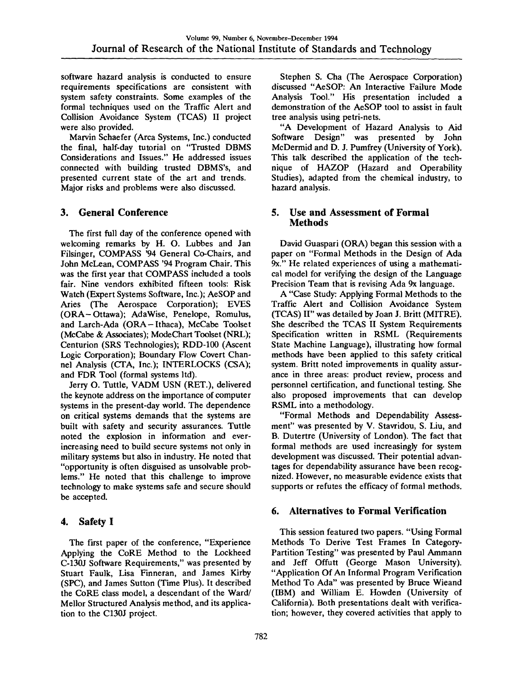software hazard analysis is conducted to ensure requirements specifications are consistent with system safety constraints. Some examples of the fonnal techniques used on the Traffic Alert and Collision Avoidance System (TCAS) II project were also provided.

Marvin Schaefer (Area Systems, Inc.) conducted the final, half-day tutorial on "Trusted DBMS Considerations and Issues." He addressed issues connected with building trusted DBMS's, and presented current state of the art and trends. Major risks and problems were also discussed.

#### **3. General Conference**

The first full day of the conference opened with welcoming remarks by H. O. Lubbes and Jan Filsinger, COMPASS '94 General Co-Chairs, and John McLean, COMPASS '94 Program Chair. This was the first year that COMPASS included a tools fair. Nine vendors exhibited fifteen tools: Risk Watch (Expert Systems Software, Inc.); AeSOP and Aries (The Aerospace Corporation); EVES (ORA-Ottawa); AdaWise, Penelope, Romulus, and Larch-Ada (ORA-Ithaca), McCabe Toolset (McCabe & Associates); ModeChart Toolset (NRL); Centurion (SRS Technologies); RDD-100 (Ascent Logic Corporation); Boundary Flow Covert Channel Analysis (CTA, Inc.); INTERLOCKS (CSA); and FDR Tool (formal systems ltd).

Jerry O. Tuttle, VADM USN (RET.), delivered the keynote address on the importance of computer systems in the present-day world. The dependence on critical systems demands that the systems are built with safety and security assurances. Tuttle noted the explosion in information and everincreasing need to build secure systems not only in military systems but also in industry. He noted that "opportunity is often disguised as unsolvable problems." He noted that this challenge to improve technology to make systems safe and secure should be accepted.

#### **4. Safety I**

The first paper of the conference, "Experience Applying the CoRE Method to the Lockheed C-130J Software Requirements," was presented by Stuart Faulk, Lisa Finneran, and James Kirby (SPC), and James Sutton (Time Plus). It described the CoRE class model, a descendant of the Ward/ Mellor Structured Analysis method, and its application to the C130J project.

Stephen S. Cha (The Aerospace Corporation) discussed "AeSOP: An Interactive Failure Mode Analysis Tool." His presentation included a demonstration of the AeSOP tool to assist in fault tree analysis using petri-nets.

"A Development of Hazard Analysis to Aid Software Design" was presented by John McDermid and D. J. Pumfrey (University of York). This talk described the application of the technique of HAZOP (Hazard and Operability Studies), adapted from the chemical industry, to hazard analysis.

#### **5. Use and Assessment of Formal Methods**

David Guaspari (ORA) began this session with a paper on "Formal Methods in the Design of Ada 9x." He related experiences of using a mathematical model for verifying the design of the Language Precision Team that is revising Ada 9x language.

A "Case Study: Applying Formal Methods to the Traffic Alert and Collision Avoidance System (TCAS) 11" was detailed by Joan J. Britt (MITRE). She described the TCAS II System Requirements Specification written in RSML (Requirements State Machine Language), illustrating how formal methods have been applied to this safety critical system. Britt noted improvements in quality assurance in three areas: product review, process and personnel certification, and functional testing. She also proposed improvements that can develop RSML into a methodology.

"Formal Methods and Dependability Assessment" was presented by V. Stavridou, S. Liu, and B. Dutertre (University of London). The fact that formal methods are used increasingly for system development was discussed. Their potential advantages for dependability assurance have been recognized. However, no measurable evidence exists that supports or refutes the efficacy of formal methods.

#### **6. Alternatives to Formal Verincation**

This session featured two papers. "Using Formal Methods To Derive Test Frames In Category-Partition Testing" was presented by Paul Ammann and Jeff Offutt (George Mason University). "Application Of An Informal Program Verification Method To Ada" was presented by Bruce Wieand (IBM) and William E. Howden (University of California). Both presentations dealt with verification; however, they covered activities that apply to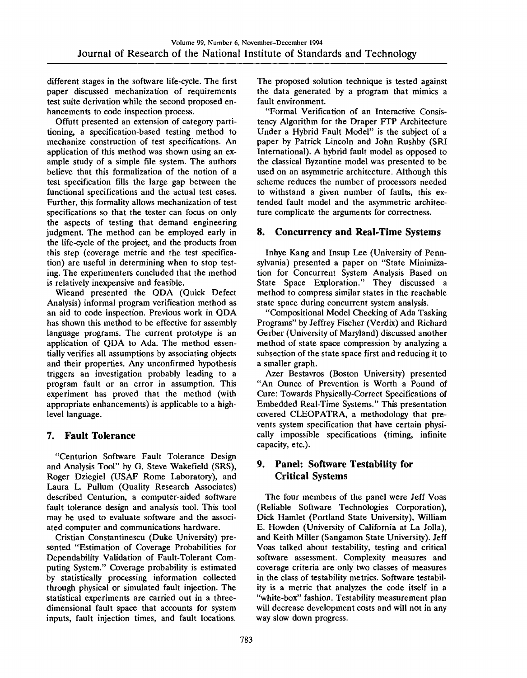different stages in the software life-cycle. The first paper discussed mechanization of requirements test suite derivation while the second proposed enhancements to code inspection process.

Offutt presented an extension of category partitioning, a specification-based testing method to mechanize construction of test specifications. An application of this method was shown using an example study of a simple file system. The authors believe that this formalization of the notion of a test specification fills the large gap between the functional specifications and the actual test cases. Further, this formality allows mechanization of test specifications so that the tester can focus on only the aspects of testing that demand engineering judgment. The method can be employed early in the life-cycle of the project, and the products from this step (coverage metric and the test specification) are useful in determining when to stop testing. The experimenters concluded that the method is relatively inexpensive and feasible.

Wieand presented the QDA (Quick Defect Analysis) informal program verification method as an aid to code inspection. Previous work in QDA has shown this method to be effective for assembly language programs. The current prototype is an application of QDA to Ada. The method essentially verifies all assumptions by associating objects and their properties. Any unconfirmed hypothesis triggers an investigation probably leading to a program fault or an error in assumption. This experiment has proved that the method (with appropriate enhancements) is applicable to a highlevel language.

#### **7. Fault Tolerance**

"Centurion Software Fault Tolerance Design and Analysis Tool" by G. Steve Wakefield (SRS), Roger Dziegiel (USAF Rome Laboratory), and Laura L. Pullum (Quality Research Associates) described Centurion, a computer-aided software fault tolerance design and analysis tool. This tool may be used to evaluate software and the associated computer and communications hardware.

Cristian Constantinescu (Duke University) presented "Estimation of Coverage Probabilities for Dependability Validation of Fault-Tolerant Computing System." Coverage probability is estimated by statistically processing information collected through physical or simulated fault injection. The statistical experiments are carried out in a threedimensional fault space that accounts for system inputs, fault injection times, and fault locations.

The proposed solution technique is tested against the data generated by a program that mimics a fault environment.

"Formal Verification of an Interactive Consistency Algorithm for the Draper FTP Architecture Under a Hybrid Fault Model" is the subject of a paper by Patrick Lincoln and John Rushby (SRI International). A hybrid fault model as opposed to the classical Byzantine model was presented to be used on an asymmetric architecture. Although this scheme reduces the number of processors needed to withstand a given number of faults, this extended fault model and the asymmetric architecture complicate the arguments for correctness.

#### **8. Concurrency and Real-Time Systems**

Inhye Kang and Insup Lee (University of Pennsylvania) presented a paper on "State Minimization for Concurrent System Analysis Based on State Space Exploration." They discussed a method to compress similar states in the reachable state space during concurrent system analysis.

"Compositional Model Checking of Ada Tasking Programs" by Jeffrey Fischer (Verdix) and Richard Gerber (University of Maryland) discussed another method of state space compression by analyzing a subsection of the state space first and reducing it to a smaller graph.

Azer Bestavros (Boston University) presented "An Ounce of Prevention is Worth a Pound of Cure: Towards Physically-Correct Specifications of Embedded Real-Time Systems." This presentation covered CLEOPATRA, a methodology that prevents system specification that have certain physically impossible specifications (timing, infinite capacity, etc.).

#### **9, Panel: Software Testability for Critical Systems**

The four members of the panel were Jeff Voas (Reliable Software Technologies Corporation), Dick Hamlet (Portland State University), William E. Howden (University of California at La Jolla), and Keith Miller (Sangamon State University). Jeff Voas talked about testability, testing and critical software assessment. Complexity measures and coverage criteria are only two classes of measures in the class of testability metrics. Software testability is a metric that analyzes the code itself in a "white-box" fashion. Testability measurement plan will decrease development costs and will not in any way slow down progress.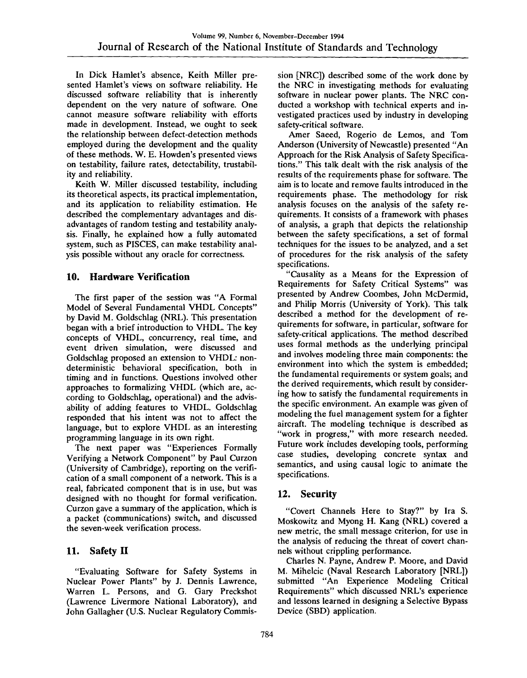In Dick Hamlet's absence, Keith Miller presented Hamlet's views on software reliability. He discussed software reliability that is inherently dependent on the very nature of software. One cannot measure software reliability with efforts made in development. Instead, we ought to seek the relationship between defect-detection methods employed during the development and the quality of these methods. W. E. Howden's presented views on testability, failure rates, detectability, trustability and reliability.

Keith W. Miller discussed testability, including its theoretical aspects, its practical implementation, and its application to reliability estimation. He described the complementary advantages and disadvantages of random testing and testability analysis. Finally, he explained how a fully automated system, such as PISCES, can make testability analysis possible without any oracle for correctness.

#### **10. Hardware Verification**

The first paper of the session was "A Formal Model of Several Fundamental VHDL Concepts" by David M. Goldschlag (NRL). This presentation began with a brief introduction to VHDL. The key concepts of VHDL, concurrency, real time, and event driven simulation, were discussed and Goldschlag proposed an extension to VHDL: nondeterministic behavioral specification, both in timing and in functions. Questions involved other approaches to formalizing VHDL (which are, according to Goldschlag, operational) and the advisability of adding features to VHDL. Goldschlag responded that his intent was not to affect the language, but to explore VHDL as an interesting programming language in its own right.

The next paper was "Experiences Formally Verifying a Network Component" by Paul Curzon (University of Cambridge), reporting on the verification of a small component of a network. This is a real, fabricated component that is in use, but was designed with no thought for formal verification. Curzon gave a summary of the application, which is a packet (communications) switch, and discussed the seven-week verification process.

## **11. Safety II**

"Evaluating Software for Safety Systems in Nuclear Power Plants" by J. Dennis Lawrence, Warren L. Persons, and G. Gary Preckshot (Lawrence Livermore National Laboratory), and John Gallagher (U.S. Nuclear Regulatory Commission [NRC]) described some of the work done by the NRC in investigating methods for evaluating software in nuclear power plants. The NRC conducted a workshop with technical experts and investigated practices used by industry in developing safety-critical software.

Amer Saeed, Rogerio de Lemos, and Tom Anderson (University of Newcastle) presented "An Approach for the Risk Analysis of Safety Specifications." This talk dealt with the risk analysis of the results of the requirements phase for software. The aim is to locate and remove faults introduced in the requirements phase. The methodology for risk analysis focuses on the analysis of the safety requirements. It consists of a framework with phases of analysis, a graph that depicts the relationship between the safety specifications, a set of formal techniques for the issues to be analyzed, and a set of procedures for the risk analysis of the safety specifications.

"Causality as a Means for the Expression of Requirements for Safety Critical Systems" was presented by Andrew Coombes, John McDermid, and Philip Morris (University of York). This talk described a method for the development of requirements for software, in particular, software for safety-critical applications. The method described uses formal methods as the underlying principal and involves modeling three main components: the environment into which the system is embedded; the fundamental requirements or system goals; and the derived requirements, which result by considering how to satisfy the fundamental requirements in the specific environment. An example was given of modeling the fuel management system for a fighter aircraft. The modeling technique is described as "work in progress," with more research needed. Future work includes developing tools, performing case studies, developing concrete syntax and semantics, and using causal logic to animate the specifications.

## **12. Security**

"Covert Channels Here to Stay?" by Ira S. Moskowitz and Myong H. Kang (NRL) covered a new metric, the small message criterion, for use in the analysis of reducing the threat of covert channels without crippling performance.

Charles N. Payne, Andrew P. Moore, and David M. Mihelcic (Naval Research Laboratory [NRL]) submitted "An Experience Modeling Critical Requirements" which discussed NRL's experience and lessons learned in designing a Selective Bypass Device (SBD) application.